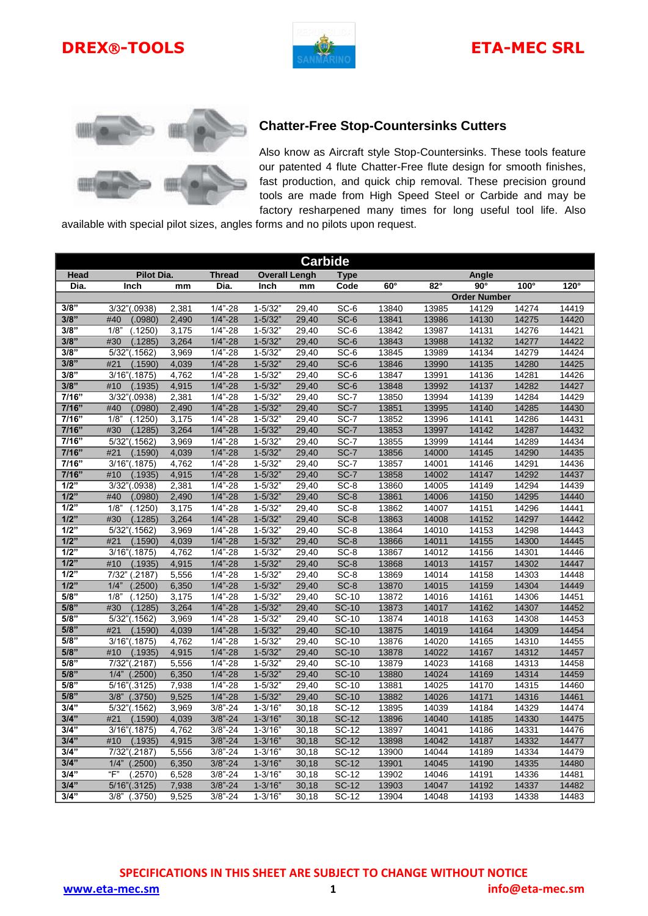





## **Chatter-Free Stop-Countersinks Cutters**

Also know as Aircraft style Stop-Countersinks. These tools feature our patented 4 flute Chatter-Free flute design for smooth finishes, fast production, and quick chip removal. These precision ground tools are made from High Speed Steel or Carbide and may be factory resharpened many times for long useful tool life. Also

available with special pilot sizes, angles forms and no pilots upon request.

| <b>Carbide</b>   |                                   |                |                            |                           |                |                        |                |                |                     |                |                |
|------------------|-----------------------------------|----------------|----------------------------|---------------------------|----------------|------------------------|----------------|----------------|---------------------|----------------|----------------|
| Head             | <b>Pilot Dia.</b>                 |                | <b>Thread</b>              | <b>Overall Lengh</b>      |                | <b>Type</b>            |                |                | Angle               |                |                |
| Dia.             | Inch                              | mm             | Dia.                       | Inch                      | mm             | Code                   | $60^\circ$     | $82^\circ$     | $90^\circ$          | $100^\circ$    | $120^\circ$    |
|                  |                                   |                |                            |                           |                |                        |                |                | <b>Order Number</b> |                |                |
| 3/8"             | 3/32"(.0938)                      | 2,381          | $1/4" - 28$                | $1 - 5/32"$               | 29,40          | SC-6                   | 13840          | 13985          | 14129               | 14274          | 14419          |
| 3/8"             | (.0980)<br>#40                    | 2,490          | $1/4" - 28$                | $1 - 5/32"$               | 29,40          | $SC-6$                 | 13841          | 13986          | 14130               | 14275          | 14420          |
| 3/8"             | 1/8"<br>(.1250)                   | 3,175          | $1/4" - 28$                | $1 - 5/32$                | 29,40          | SC-6                   | 13842          | 13987          | 14131               | 14276          | 14421          |
| 3/8"             | #30<br>(.1285)                    | 3,264          | $1/4" - 28$                | $1 - 5/32"$               | 29,40          | $SC-6$                 | 13843          | 13988          | 14132               | 14277          | 14422          |
| 3/8"             | 5/32"(.1562)                      | 3,969          | $1/4" - 28$                | $1 - 5/32$                | 29,40          | SC-6                   | 13845          | 13989          | 14134               | 14279          | 14424          |
| 3/8"             | #21<br>(.1590)                    | 4,039          | $1/4" - 28$                | $1 - 5/32"$               | 29,40          | SC-6                   | 13846          | 13990          | 14135               | 14280          | 14425          |
| 3/8"             | 3/16"(.1875)                      | 4,762          | $1/4" - 28$                | $1 - 5/32'$               | 29,40          | SC-6                   | 13847          | 13991          | 14136               | 14281          | 14426          |
| 3/8"             | #10<br>(.1935)                    | 4,915          | $1/4" - 28$                | $1 - 5/32"$               | 29,40          | SC-6                   | 13848          | 13992          | 14137               | 14282          | 14427          |
| 7/16"            | 3/32"(.0938)                      | 2,381          | $1/4" - 28$                | $1 - 5/32$                | 29,40          | SC-7                   | 13850          | 13994          | 14139               | 14284          | 14429          |
| 7/16"            | #40<br>(.0980)                    | 2,490          | $1/4" - 28$                | $1 - 5/32"$               | 29,40          | $SC-7$                 | 13851          | 13995          | 14140               | 14285          | 14430          |
| 7/16"            | 1/8"<br>(.1250)                   | 3,175          | $1/4" - 28$                | $1 - 5/32$                | 29,40          | SC-7                   | 13852          | 13996          | 14141               | 14286          | 14431          |
| 7/16"            | #30<br>(.1285)                    | 3,264          | $1/4" - 28$                | $1 - 5/32"$               | 29,40          | SC-7                   | 13853          | 13997          | 14142               | 14287          | 14432          |
| 7/16"            | 5/32"(.1562)                      | 3,969          | $1/4" - 28$                | $1 - 5/32'$               | 29,40          | $SC-7$                 | 13855          | 13999          | 14144               | 14289          | 14434          |
| 7/16"            | #21<br>(.1590)                    | 4,039          | $1/4" - 28$                | $1 - 5/32"$               | 29,40          | SC-7                   | 13856          | 14000          | 14145               | 14290          | 14435          |
| 7/16"            | 3/16"(.1875)                      | 4,762          | $1/4" - 28$                | $1 - 5/32$                | 29,40          | SC-7                   | 13857          | 14001          | 14146               | 14291          | 14436          |
| 7/16"            | #10<br>(.1935)                    | 4,915          | $1/4" - 28$                | $1 - 5/32"$               | 29,40          | $SC-7$                 | 13858          | 14002          | 14147               | 14292          | 14437          |
| $\overline{1/2}$ | 3/32"(.0938)                      | 2,381          | $1/4" - 28$                | $1 - 5/32'$               | 29,40          | SC-8                   | 13860          | 14005          | 14149               | 14294          | 14439          |
| $1/2$ "          | #40<br>(.0980)                    | 2,490          | $1/4" - 28$                | $1 - 5/32"$               | 29,40          | SC-8                   | 13861          | 14006          | 14150               | 14295          | 14440          |
| 1/2"             | 1/8"<br>(.1250)                   | 3,175          | $1/4" - 28$                | $1 - 5/32$                | 29,40          | SC-8                   | 13862          | 14007          | 14151               | 14296          | 14441          |
| $1/2$ "          | #30<br>(.1285)                    | 3,264          | $1/4" - 28$                | $1 - 5/32"$               | 29,40          | $SC-8$                 | 13863          | 14008          | 14152               | 14297          | 14442          |
| 1/2"             | 5/32"(.1562)                      | 3,969          | $1/4" - 28$                | $1 - 5/32$                | 29,40          | SC-8                   | 13864          | 14010          | 14153               | 14298          | 14443          |
| 1/2"             | #21<br>(.1590)                    | 4,039          | $1/4" - 28$                | $1 - 5/32"$               | 29,40          | $SC-8$                 | 13866          | 14011          | 14155               | 14300          | 14445          |
| $\overline{1/2}$ | 3/16"(.1875)                      | 4,762          | $1/4" - 28$                | $1 - 5/32'$               | 29,40          | SC-8                   | 13867          | 14012          | 14156               | 14301          | 14446          |
| 1/2"             | #10<br>(.1935)                    | 4,915          | $1/4" - 28$                | $1 - 5/32"$               | 29,40          | $SC-8$                 | 13868          | 14013          | 14157               | 14302          | 14447          |
| 1/2"<br>1/2"     | 7/32"<br>(.2187)                  | 5,556          | $1/4" - 28$                | $1 - 5/32$                | 29,40          | SC-8                   | 13869          | 14014          | 14158               | 14303          | 14448          |
| 5/8"             | 1/4"<br>(.2500)<br>1/8<br>(.1250) | 6,350<br>3,175 | $1/4" - 28$<br>$1/4" - 28$ | $1 - 5/32"$<br>$1 - 5/32$ | 29,40          | $SC-8$<br><b>SC-10</b> | 13870<br>13872 | 14015<br>14016 | 14159<br>14161      | 14304<br>14306 | 14449<br>14451 |
| 5/8"             | #30<br>(.1285)                    | 3,264          | $1/4" - 28$                | $1 - 5/32"$               | 29,40<br>29,40 | <b>SC-10</b>           | 13873          | 14017          | 14162               | 14307          | 14452          |
| 5/8"             | 5/32"(.1562)                      | 3,969          | $1/4" - 28$                | $1 - 5/32$                | 29,40          | <b>SC-10</b>           | 13874          | 14018          | 14163               | 14308          | 14453          |
| 5/8"             | #21<br>(.1590)                    | 4,039          | $1/4" - 28$                | $1 - 5/32"$               | 29,40          | <b>SC-10</b>           | 13875          | 14019          | 14164               | 14309          | 14454          |
| 5/8"             | 3/16"(.1875)                      | 4,762          | $1/4" - 28$                | $1 - 5/32$                | 29,40          | <b>SC-10</b>           | 13876          | 14020          | 14165               | 14310          | 14455          |
| 5/8"             | #10<br>(.1935)                    | 4,915          | $1/4" - 28$                | $1 - 5/32"$               | 29,40          | <b>SC-10</b>           | 13878          | 14022          | 14167               | 14312          | 14457          |
| 5/8"             | 7/32"(.2187)                      | 5,556          | $1/4" - 28$                | $1 - 5/32$                | 29,40          | <b>SC-10</b>           | 13879          | 14023          | 14168               | 14313          | 14458          |
| 5/8"             | 1/4"<br>(.2500)                   | 6,350          | $1/4 - 28$                 | $1 - 5/32"$               | 29,40          | <b>SC-10</b>           | 13880          | 14024          | 14169               | 14314          | 14459          |
| 5/8"             | 5/16"(.3125)                      | 7,938          | $1/4" - 28$                | $1 - 5/32$                | 29,40          | <b>SC-10</b>           | 13881          | 14025          | 14170               | 14315          | 14460          |
| 5/8"             | 3/8" (.3750)                      | 9,525          | $1/4" - 28$                | $1 - 5/32"$               | 29,40          | <b>SC-10</b>           | 13882          | 14026          | 14171               | 14316          | 14461          |
| 3/4"             | 5/32"(.1562)                      | 3,969          | $3/8" - 24$                | $1 - 3/16$                | 30,18          | SC-12                  | 13895          | 14039          | 14184               | 14329          | 14474          |
| 3/4"             | #21<br>(.1590)                    | 4,039          | $3/8" - 24$                | $1 - 3/16"$               | 30,18          | <b>SC-12</b>           | 13896          | 14040          | 14185               | 14330          | 14475          |
| 3/4"             | 3/16"(.1875)                      | 4,762          | $3/8" - 24$                | $1 - 3/16'$               | 30,18          | <b>SC-12</b>           | 13897          | 14041          | 14186               | 14331          | 14476          |
| 3/4"             | #10<br>(.1935)                    | 4,915          | $3/8" - 24$                | $1 - 3/16"$               | 30,18          | $SC-12$                | 13898          | 14042          | 14187               | 14332          | 14477          |
| 3/4"             | 7/32"(.2187)                      | 5,556          | $3/8" - 24$                | $1 - 3/16'$               | 30,18          | SC-12                  | 13900          | 14044          | 14189               | 14334          | 14479          |
| 3/4"             | 1/4"<br>(.2500)                   | 6,350          | $3/8" - 24$                | $1 - 3/16"$               | 30,18          | <b>SC-12</b>           | 13901          | 14045          | 14190               | 14335          | 14480          |
| 3/4"             | "F'<br>$\sqrt{(.2570)}$           | 6.528          | $3/8" - 24$                | $1 - 3/16'$               | 30,18          | <b>SC-12</b>           | 13902          | 14046          | 14191               | 14336          | 14481          |
| 3/4"             | 5/16"(.3125)                      | 7,938          | $3/8" - 24$                | $1 - 3/16"$               | 30,18          | <b>SC-12</b>           | 13903          | 14047          | 14192               | 14337          | 14482          |
| 3/4"             | (.3750)<br>3/8"                   | 9,525          | 3/8"-24                    | $1 - 3/16'$               | 30, 18         | SC-12                  | 13904          | 14048          | 14193               | 14338          | 14483          |

**SPECIFICATIONS IN THIS SHEET ARE SUBJECT TO CHANGE WITHOUT NOTICE**